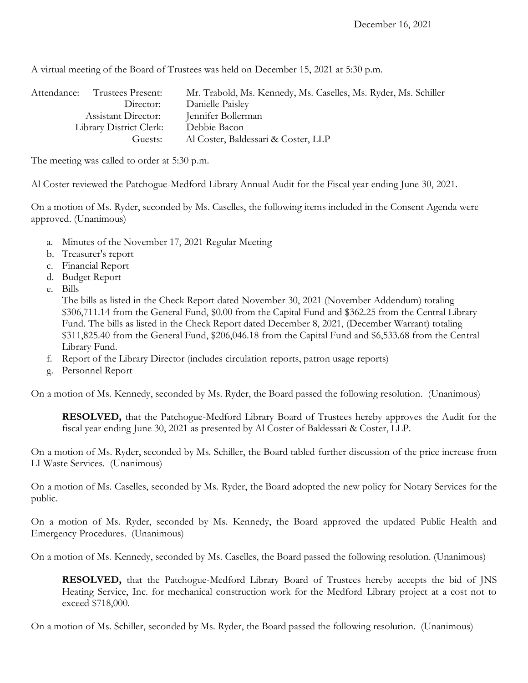A virtual meeting of the Board of Trustees was held on December 15, 2021 at 5:30 p.m.

| Attendance: | Trustees Present:       | Mr. Trabold, Ms. Kennedy, Ms. Caselles, Ms. Ryder, Ms. Schiller |
|-------------|-------------------------|-----------------------------------------------------------------|
|             | Director:               | Danielle Paisley                                                |
|             | Assistant Director:     | Jennifer Bollerman                                              |
|             | Library District Clerk: | Debbie Bacon                                                    |
|             | Guests:                 | Al Coster, Baldessari & Coster, LLP                             |

The meeting was called to order at 5:30 p.m.

Al Coster reviewed the Patchogue-Medford Library Annual Audit for the Fiscal year ending June 30, 2021.

On a motion of Ms. Ryder, seconded by Ms. Caselles, the following items included in the Consent Agenda were approved. (Unanimous)

- a. Minutes of the November 17, 2021 Regular Meeting
- b. Treasurer's report
- c. Financial Report
- d. Budget Report
- e. Bills

The bills as listed in the Check Report dated November 30, 2021 (November Addendum) totaling \$306,711.14 from the General Fund, \$0.00 from the Capital Fund and \$362.25 from the Central Library Fund. The bills as listed in the Check Report dated December 8, 2021, (December Warrant) totaling \$311,825.40 from the General Fund, \$206,046.18 from the Capital Fund and \$6,533.68 from the Central Library Fund.

- f. Report of the Library Director (includes circulation reports, patron usage reports)
- g. Personnel Report

On a motion of Ms. Kennedy, seconded by Ms. Ryder, the Board passed the following resolution. (Unanimous)

**RESOLVED,** that the Patchogue-Medford Library Board of Trustees hereby approves the Audit for the fiscal year ending June 30, 2021 as presented by Al Coster of Baldessari & Coster, LLP.

On a motion of Ms. Ryder, seconded by Ms. Schiller, the Board tabled further discussion of the price increase from LI Waste Services. (Unanimous)

On a motion of Ms. Caselles, seconded by Ms. Ryder, the Board adopted the new policy for Notary Services for the public.

On a motion of Ms. Ryder, seconded by Ms. Kennedy, the Board approved the updated Public Health and Emergency Procedures. (Unanimous)

On a motion of Ms. Kennedy, seconded by Ms. Caselles, the Board passed the following resolution. (Unanimous)

**RESOLVED,** that the Patchogue-Medford Library Board of Trustees hereby accepts the bid of JNS Heating Service, Inc. for mechanical construction work for the Medford Library project at a cost not to exceed \$718,000.

On a motion of Ms. Schiller, seconded by Ms. Ryder, the Board passed the following resolution. (Unanimous)